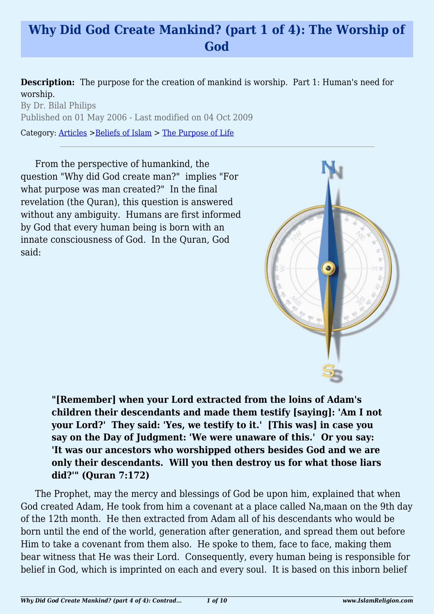# **Why Did God Create Mankind? (part 1 of 4): The Worship of God**

**Description:** The purpose for the creation of mankind is worship. Part 1: Human's need for worship.

By Dr. Bilal Philips Published on 01 May 2006 - Last modified on 04 Oct 2009

Category: [Articles](http://www.islamreligion.com/articles/) >[Beliefs of Islam](http://www.islamreligion.com/category/48/) > [The Purpose of Life](http://www.islamreligion.com/category/52/)

From the perspective of humankind, the question "Why did God create man?" implies "For what purpose was man created?" In the final revelation (the Quran), this question is answered without any ambiguity. Humans are first informed by God that every human being is born with an innate consciousness of God. In the Quran, God said:



**"[Remember] when your Lord extracted from the loins of Adam's children their descendants and made them testify [saying]: 'Am I not your Lord?' They said: 'Yes, we testify to it.' [This was] in case you say on the Day of Judgment: 'We were unaware of this.' Or you say: 'It was our ancestors who worshipped others besides God and we are only their descendants. Will you then destroy us for what those liars did?'" (Quran 7:172)**

The Prophet, may the mercy and blessings of God be upon him, explained that when God created Adam, He took from him a covenant at a place called Na,maan on the 9th day of the 12th month. He then extracted from Adam all of his descendants who would be born until the end of the world, generation after generation, and spread them out before Him to take a covenant from them also. He spoke to them, face to face, making them bear witness that He was their Lord. Consequently, every human being is responsible for belief in God, which is imprinted on each and every soul. It is based on this inborn belief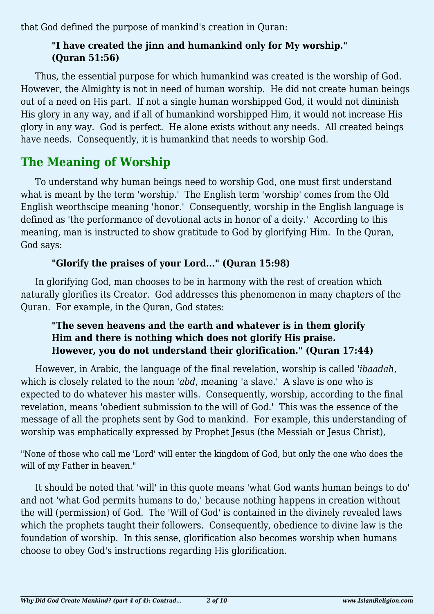that God defined the purpose of mankind's creation in Quran:

### **"I have created the jinn and humankind only for My worship." (Quran 51:56)**

Thus, the essential purpose for which humankind was created is the worship of God. However, the Almighty is not in need of human worship. He did not create human beings out of a need on His part. If not a single human worshipped God, it would not diminish His glory in any way, and if all of humankind worshipped Him, it would not increase His glory in any way. God is perfect. He alone exists without any needs. All created beings have needs. Consequently, it is humankind that needs to worship God.

# **The Meaning of Worship**

To understand why human beings need to worship God, one must first understand what is meant by the term 'worship.' The English term 'worship' comes from the Old English weorthscipe meaning 'honor.' Consequently, worship in the English language is defined as 'the performance of devotional acts in honor of a deity.' According to this meaning, man is instructed to show gratitude to God by glorifying Him. In the Quran, God says:

## **"Glorify the praises of your Lord..." (Quran 15:98)**

In glorifying God, man chooses to be in harmony with the rest of creation which naturally glorifies its Creator. God addresses this phenomenon in many chapters of the Quran. For example, in the Quran, God states:

### **"The seven heavens and the earth and whatever is in them glorify Him and there is nothing which does not glorify His praise. However, you do not understand their glorification." (Quran 17:44)**

However, in Arabic, the language of the final revelation, worship is called *'ibaadah*, which is closely related to the noun *'abd*, meaning 'a slave.' A slave is one who is expected to do whatever his master wills. Consequently, worship, according to the final revelation, means 'obedient submission to the will of God.' This was the essence of the message of all the prophets sent by God to mankind. For example, this understanding of worship was emphatically expressed by Prophet Jesus (the Messiah or Jesus Christ),

"None of those who call me 'Lord' will enter the kingdom of God, but only the one who does the will of my Father in heaven."

It should be noted that 'will' in this quote means 'what God wants human beings to do' and not 'what God permits humans to do,' because nothing happens in creation without the will (permission) of God. The 'Will of God' is contained in the divinely revealed laws which the prophets taught their followers. Consequently, obedience to divine law is the foundation of worship. In this sense, glorification also becomes worship when humans choose to obey God's instructions regarding His glorification.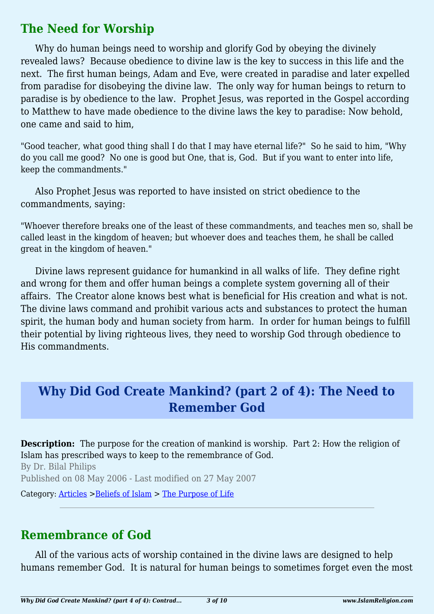## **The Need for Worship**

Why do human beings need to worship and glorify God by obeying the divinely revealed laws? Because obedience to divine law is the key to success in this life and the next. The first human beings, Adam and Eve, were created in paradise and later expelled from paradise for disobeying the divine law. The only way for human beings to return to paradise is by obedience to the law. Prophet Jesus, was reported in the Gospel according to Matthew to have made obedience to the divine laws the key to paradise: Now behold, one came and said to him,

"Good teacher, what good thing shall I do that I may have eternal life?" So he said to him, "Why do you call me good? No one is good but One, that is, God. But if you want to enter into life, keep the commandments."

Also Prophet Jesus was reported to have insisted on strict obedience to the commandments, saying:

"Whoever therefore breaks one of the least of these commandments, and teaches men so, shall be called least in the kingdom of heaven; but whoever does and teaches them, he shall be called great in the kingdom of heaven."

Divine laws represent guidance for humankind in all walks of life. They define right and wrong for them and offer human beings a complete system governing all of their affairs. The Creator alone knows best what is beneficial for His creation and what is not. The divine laws command and prohibit various acts and substances to protect the human spirit, the human body and human society from harm. In order for human beings to fulfill their potential by living righteous lives, they need to worship God through obedience to His commandments.

# **Why Did God Create Mankind? (part 2 of 4): The Need to Remember God**

**Description:** The purpose for the creation of mankind is worship. Part 2: How the religion of Islam has prescribed ways to keep to the remembrance of God. By Dr. Bilal Philips Published on 08 May 2006 - Last modified on 27 May 2007

Category: [Articles](http://www.islamreligion.com/articles/) >[Beliefs of Islam](http://www.islamreligion.com/category/48/) > [The Purpose of Life](http://www.islamreligion.com/category/52/)

# **Remembrance of God**

All of the various acts of worship contained in the divine laws are designed to help humans remember God. It is natural for human beings to sometimes forget even the most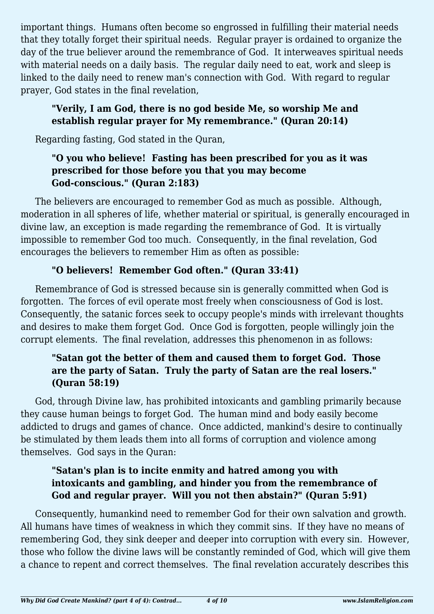important things. Humans often become so engrossed in fulfilling their material needs that they totally forget their spiritual needs. Regular prayer is ordained to organize the day of the true believer around the remembrance of God. It interweaves spiritual needs with material needs on a daily basis. The regular daily need to eat, work and sleep is linked to the daily need to renew man's connection with God. With regard to regular prayer, God states in the final revelation,

### **"Verily, I am God, there is no god beside Me, so worship Me and establish regular prayer for My remembrance." (Quran 20:14)**

Regarding fasting, God stated in the Quran,

### **"O you who believe! Fasting has been prescribed for you as it was prescribed for those before you that you may become God-conscious." (Quran 2:183)**

The believers are encouraged to remember God as much as possible. Although, moderation in all spheres of life, whether material or spiritual, is generally encouraged in divine law, an exception is made regarding the remembrance of God. It is virtually impossible to remember God too much. Consequently, in the final revelation, God encourages the believers to remember Him as often as possible:

## **"O believers! Remember God often." (Quran 33:41)**

Remembrance of God is stressed because sin is generally committed when God is forgotten. The forces of evil operate most freely when consciousness of God is lost. Consequently, the satanic forces seek to occupy people's minds with irrelevant thoughts and desires to make them forget God. Once God is forgotten, people willingly join the corrupt elements. The final revelation, addresses this phenomenon in as follows:

### **"Satan got the better of them and caused them to forget God. Those are the party of Satan. Truly the party of Satan are the real losers." (Quran 58:19)**

God, through Divine law, has prohibited intoxicants and gambling primarily because they cause human beings to forget God. The human mind and body easily become addicted to drugs and games of chance. Once addicted, mankind's desire to continually be stimulated by them leads them into all forms of corruption and violence among themselves. God says in the Quran:

### **"Satan's plan is to incite enmity and hatred among you with intoxicants and gambling, and hinder you from the remembrance of God and regular prayer. Will you not then abstain?" (Quran 5:91)**

Consequently, humankind need to remember God for their own salvation and growth. All humans have times of weakness in which they commit sins. If they have no means of remembering God, they sink deeper and deeper into corruption with every sin. However, those who follow the divine laws will be constantly reminded of God, which will give them a chance to repent and correct themselves. The final revelation accurately describes this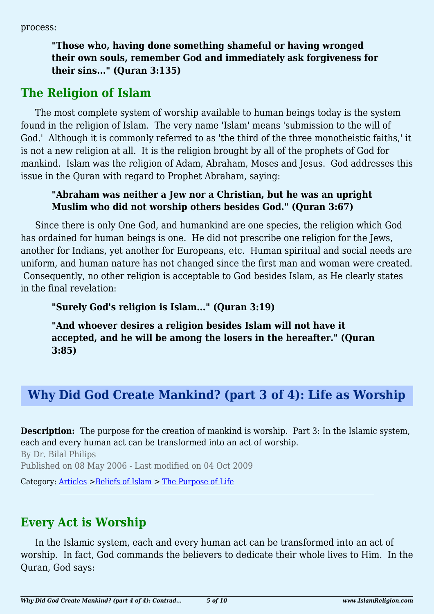process:

**"Those who, having done something shameful or having wronged their own souls, remember God and immediately ask forgiveness for their sins..." (Quran 3:135)**

# **The Religion of Islam**

The most complete system of worship available to human beings today is the system found in the religion of Islam. The very name 'Islam' means 'submission to the will of God.' Although it is commonly referred to as 'the third of the three monotheistic faiths,' it is not a new religion at all. It is the religion brought by all of the prophets of God for mankind. Islam was the religion of Adam, Abraham, Moses and Jesus. God addresses this issue in the Quran with regard to Prophet Abraham, saying:

#### **"Abraham was neither a Jew nor a Christian, but he was an upright Muslim who did not worship others besides God." (Quran 3:67)**

Since there is only One God, and humankind are one species, the religion which God has ordained for human beings is one. He did not prescribe one religion for the Jews, another for Indians, yet another for Europeans, etc. Human spiritual and social needs are uniform, and human nature has not changed since the first man and woman were created. Consequently, no other religion is acceptable to God besides Islam, as He clearly states in the final revelation:

**"Surely God's religion is Islam..." (Quran 3:19)**

**"And whoever desires a religion besides Islam will not have it accepted, and he will be among the losers in the hereafter." (Quran 3:85)**

# **Why Did God Create Mankind? (part 3 of 4): Life as Worship**

**Description:** The purpose for the creation of mankind is worship. Part 3: In the Islamic system, each and every human act can be transformed into an act of worship.

By Dr. Bilal Philips Published on 08 May 2006 - Last modified on 04 Oct 2009

Category: [Articles](http://www.islamreligion.com/articles/) >[Beliefs of Islam](http://www.islamreligion.com/category/48/) > [The Purpose of Life](http://www.islamreligion.com/category/52/)

# **Every Act is Worship**

In the Islamic system, each and every human act can be transformed into an act of worship. In fact, God commands the believers to dedicate their whole lives to Him. In the Quran, God says: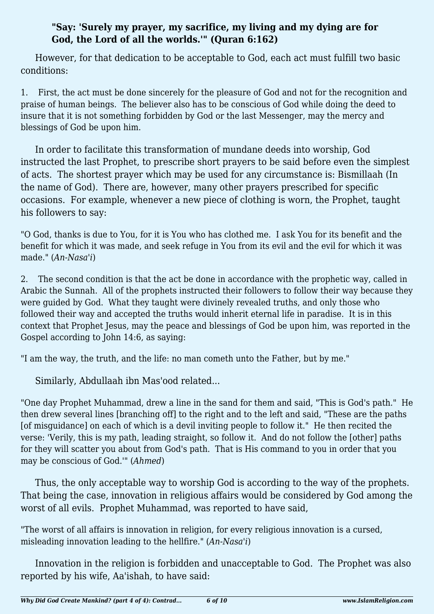#### **"Say: 'Surely my prayer, my sacrifice, my living and my dying are for God, the Lord of all the worlds.'" (Quran 6:162)**

However, for that dedication to be acceptable to God, each act must fulfill two basic conditions:

1. First, the act must be done sincerely for the pleasure of God and not for the recognition and praise of human beings. The believer also has to be conscious of God while doing the deed to insure that it is not something forbidden by God or the last Messenger, may the mercy and blessings of God be upon him.

In order to facilitate this transformation of mundane deeds into worship, God instructed the last Prophet, to prescribe short prayers to be said before even the simplest of acts. The shortest prayer which may be used for any circumstance is: Bismillaah (In the name of God). There are, however, many other prayers prescribed for specific occasions. For example, whenever a new piece of clothing is worn, the Prophet, taught his followers to say:

"O God, thanks is due to You, for it is You who has clothed me. I ask You for its benefit and the benefit for which it was made, and seek refuge in You from its evil and the evil for which it was made." (*An-Nasa'i*)

2. The second condition is that the act be done in accordance with the prophetic way, called in Arabic the Sunnah. All of the prophets instructed their followers to follow their way because they were guided by God. What they taught were divinely revealed truths, and only those who followed their way and accepted the truths would inherit eternal life in paradise. It is in this context that Prophet Jesus, may the peace and blessings of God be upon him, was reported in the Gospel according to John 14:6, as saying:

"I am the way, the truth, and the life: no man cometh unto the Father, but by me."

Similarly, Abdullaah ibn Mas'ood related...

"One day Prophet Muhammad, drew a line in the sand for them and said, "This is God's path." He then drew several lines [branching off] to the right and to the left and said, "These are the paths [of misguidance] on each of which is a devil inviting people to follow it." He then recited the verse: 'Verily, this is my path, leading straight, so follow it. And do not follow the [other] paths for they will scatter you about from God's path. That is His command to you in order that you may be conscious of God.'" (*Ahmed*)

Thus, the only acceptable way to worship God is according to the way of the prophets. That being the case, innovation in religious affairs would be considered by God among the worst of all evils. Prophet Muhammad, was reported to have said,

"The worst of all affairs is innovation in religion, for every religious innovation is a cursed, misleading innovation leading to the hellfire." (*An-Nasa'i*)

Innovation in the religion is forbidden and unacceptable to God. The Prophet was also reported by his wife, Aa'ishah, to have said: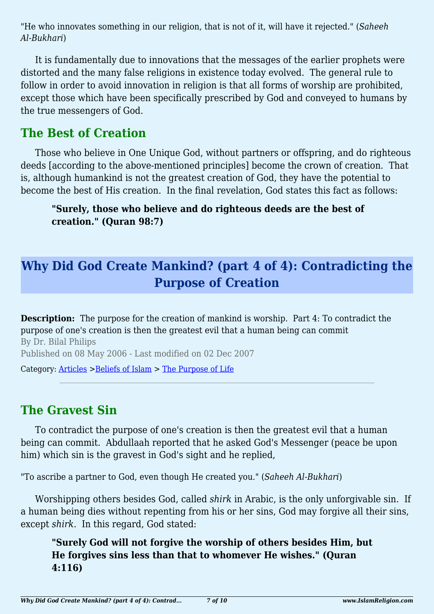"He who innovates something in our religion, that is not of it, will have it rejected." (*Saheeh Al-Bukhari*)

It is fundamentally due to innovations that the messages of the earlier prophets were distorted and the many false religions in existence today evolved. The general rule to follow in order to avoid innovation in religion is that all forms of worship are prohibited, except those which have been specifically prescribed by God and conveyed to humans by the true messengers of God.

## **The Best of Creation**

Those who believe in One Unique God, without partners or offspring, and do righteous deeds [according to the above-mentioned principles] become the crown of creation. That is, although humankind is not the greatest creation of God, they have the potential to become the best of His creation. In the final revelation, God states this fact as follows:

**"Surely, those who believe and do righteous deeds are the best of creation." (Quran 98:7)**

# **Why Did God Create Mankind? (part 4 of 4): Contradicting the Purpose of Creation**

**Description:** The purpose for the creation of mankind is worship. Part 4: To contradict the purpose of one's creation is then the greatest evil that a human being can commit By Dr. Bilal Philips Published on 08 May 2006 - Last modified on 02 Dec 2007 Category: [Articles](http://www.islamreligion.com/articles/) >[Beliefs of Islam](http://www.islamreligion.com/category/48/) > [The Purpose of Life](http://www.islamreligion.com/category/52/)

## **The Gravest Sin**

To contradict the purpose of one's creation is then the greatest evil that a human being can commit. Abdullaah reported that he asked God's Messenger (peace be upon him) which sin is the gravest in God's sight and he replied,

"To ascribe a partner to God, even though He created you." (*Saheeh Al-Bukhari*)

Worshipping others besides God, called *shirk* in Arabic, is the only unforgivable sin. If a human being dies without repenting from his or her sins, God may forgive all their sins, except *shirk*. In this regard, God stated:

**"Surely God will not forgive the worship of others besides Him, but He forgives sins less than that to whomever He wishes." (Quran 4:116)**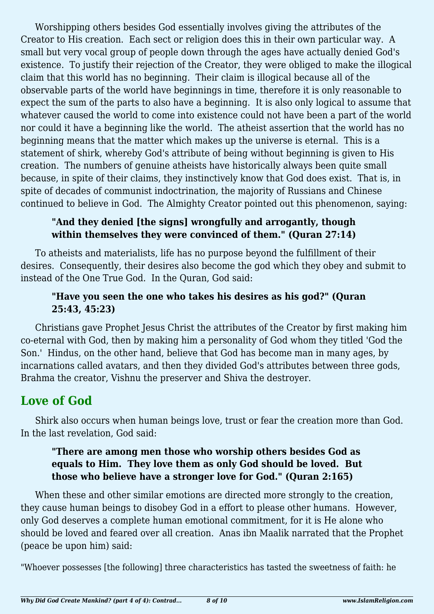Worshipping others besides God essentially involves giving the attributes of the Creator to His creation. Each sect or religion does this in their own particular way. A small but very vocal group of people down through the ages have actually denied God's existence. To justify their rejection of the Creator, they were obliged to make the illogical claim that this world has no beginning. Their claim is illogical because all of the observable parts of the world have beginnings in time, therefore it is only reasonable to expect the sum of the parts to also have a beginning. It is also only logical to assume that whatever caused the world to come into existence could not have been a part of the world nor could it have a beginning like the world. The atheist assertion that the world has no beginning means that the matter which makes up the universe is eternal. This is a statement of shirk, whereby God's attribute of being without beginning is given to His creation. The numbers of genuine atheists have historically always been quite small because, in spite of their claims, they instinctively know that God does exist. That is, in spite of decades of communist indoctrination, the majority of Russians and Chinese continued to believe in God. The Almighty Creator pointed out this phenomenon, saying:

#### **"And they denied [the signs] wrongfully and arrogantly, though within themselves they were convinced of them." (Quran 27:14)**

To atheists and materialists, life has no purpose beyond the fulfillment of their desires. Consequently, their desires also become the god which they obey and submit to instead of the One True God. In the Quran, God said:

#### **"Have you seen the one who takes his desires as his god?" (Quran 25:43, 45:23)**

Christians gave Prophet Jesus Christ the attributes of the Creator by first making him co-eternal with God, then by making him a personality of God whom they titled 'God the Son.' Hindus, on the other hand, believe that God has become man in many ages, by incarnations called avatars, and then they divided God's attributes between three gods, Brahma the creator, Vishnu the preserver and Shiva the destroyer.

# **Love of God**

Shirk also occurs when human beings love, trust or fear the creation more than God. In the last revelation, God said:

#### **"There are among men those who worship others besides God as equals to Him. They love them as only God should be loved. But those who believe have a stronger love for God." (Quran 2:165)**

When these and other similar emotions are directed more strongly to the creation, they cause human beings to disobey God in a effort to please other humans. However, only God deserves a complete human emotional commitment, for it is He alone who should be loved and feared over all creation. Anas ibn Maalik narrated that the Prophet (peace be upon him) said:

"Whoever possesses [the following] three characteristics has tasted the sweetness of faith: he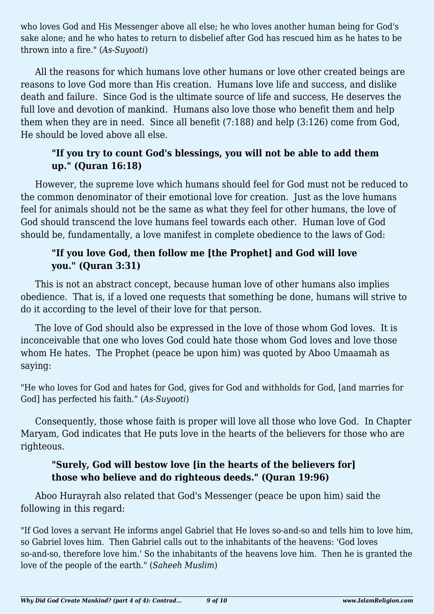who loves God and His Messenger above all else; he who loves another human being for God's sake alone; and he who hates to return to disbelief after God has rescued him as he hates to be thrown into a fire." (*As-Suyooti*)

All the reasons for which humans love other humans or love other created beings are reasons to love God more than His creation. Humans love life and success, and dislike death and failure. Since God is the ultimate source of life and success, He deserves the full love and devotion of mankind. Humans also love those who benefit them and help them when they are in need. Since all benefit (7:188) and help (3:126) come from God, He should be loved above all else.

### **"If you try to count God's blessings, you will not be able to add them up." (Quran 16:18)**

However, the supreme love which humans should feel for God must not be reduced to the common denominator of their emotional love for creation. Just as the love humans feel for animals should not be the same as what they feel for other humans, the love of God should transcend the love humans feel towards each other. Human love of God should be, fundamentally, a love manifest in complete obedience to the laws of God:

### **"If you love God, then follow me [the Prophet] and God will love you." (Quran 3:31)**

This is not an abstract concept, because human love of other humans also implies obedience. That is, if a loved one requests that something be done, humans will strive to do it according to the level of their love for that person.

The love of God should also be expressed in the love of those whom God loves. It is inconceivable that one who loves God could hate those whom God loves and love those whom He hates. The Prophet (peace be upon him) was quoted by Aboo Umaamah as saying:

"He who loves for God and hates for God, gives for God and withholds for God, [and marries for God] has perfected his faith." (*As-Suyooti*)

Consequently, those whose faith is proper will love all those who love God. In Chapter Maryam, God indicates that He puts love in the hearts of the believers for those who are righteous.

### **"Surely, God will bestow love [in the hearts of the believers for] those who believe and do righteous deeds." (Quran 19:96)**

Aboo Hurayrah also related that God's Messenger (peace be upon him) said the following in this regard:

"If God loves a servant He informs angel Gabriel that He loves so-and-so and tells him to love him, so Gabriel loves him. Then Gabriel calls out to the inhabitants of the heavens: 'God loves so-and-so, therefore love him.' So the inhabitants of the heavens love him. Then he is granted the love of the people of the earth." (*Saheeh Muslim*)